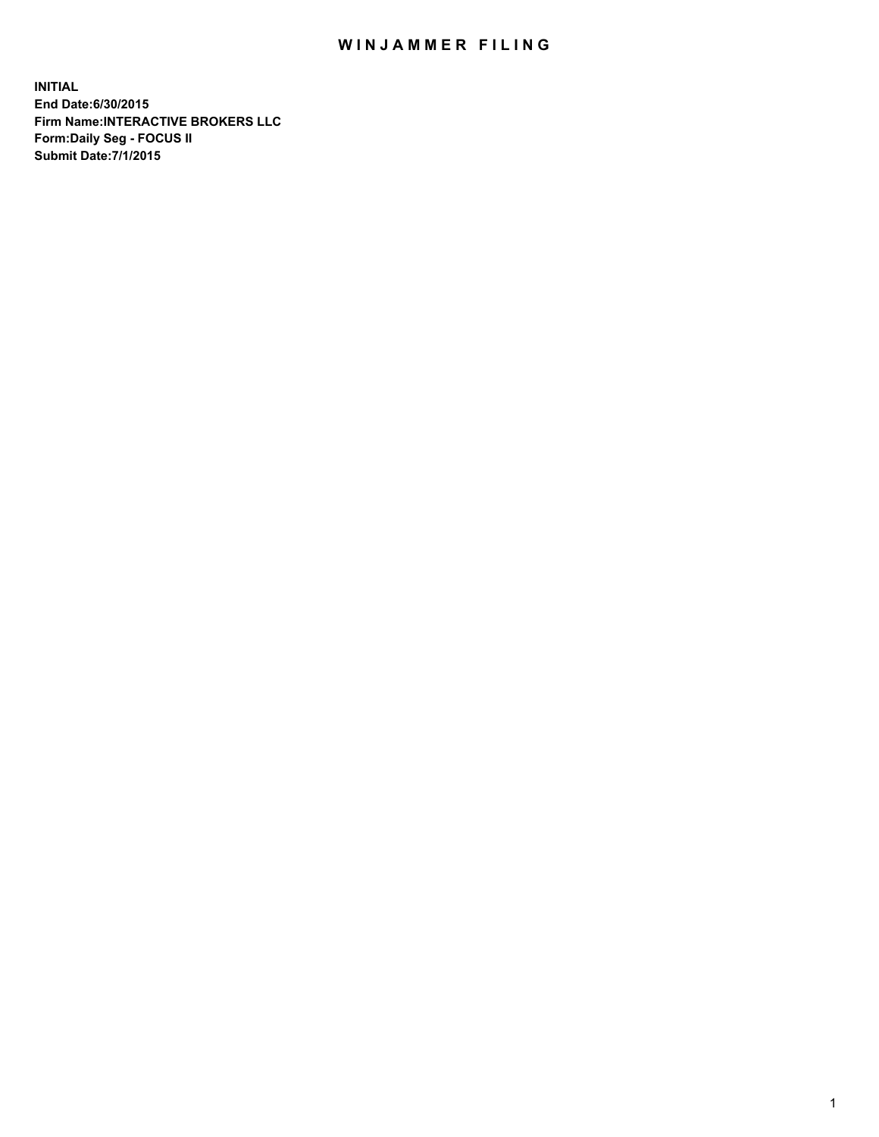## WIN JAMMER FILING

**INITIAL End Date:6/30/2015 Firm Name:INTERACTIVE BROKERS LLC Form:Daily Seg - FOCUS II Submit Date:7/1/2015**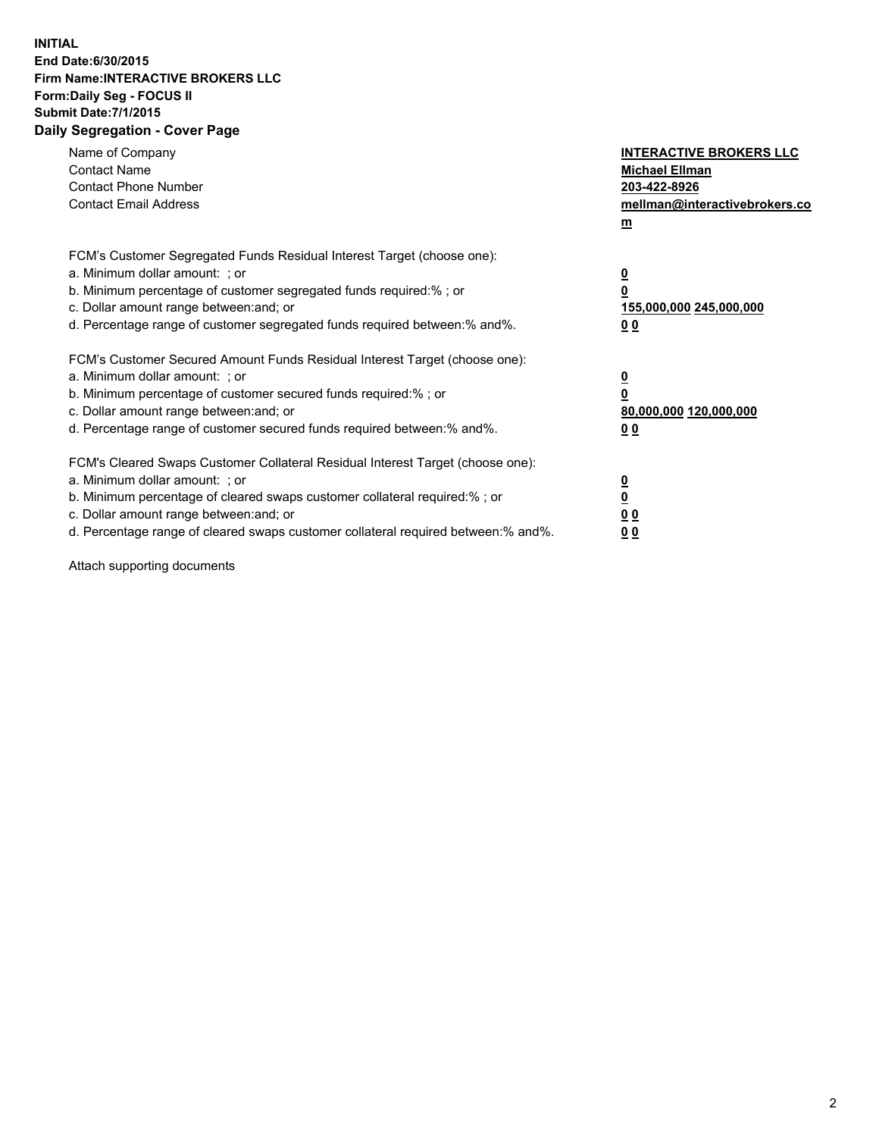## **INITIAL End Date:6/30/2015 Firm Name:INTERACTIVE BROKERS LLC Form:Daily Seg - FOCUS II Submit Date:7/1/2015 Daily Segregation - Cover Page**

| Name of Company<br><b>Contact Name</b><br><b>Contact Phone Number</b><br><b>Contact Email Address</b>                                                                                                                                                                                                                          | <b>INTERACTIVE BROKERS LLC</b><br><b>Michael Ellman</b><br>203-422-8926<br>mellman@interactivebrokers.co<br>$\mathbf{m}$ |
|--------------------------------------------------------------------------------------------------------------------------------------------------------------------------------------------------------------------------------------------------------------------------------------------------------------------------------|--------------------------------------------------------------------------------------------------------------------------|
| FCM's Customer Segregated Funds Residual Interest Target (choose one):<br>a. Minimum dollar amount: ; or<br>b. Minimum percentage of customer segregated funds required:% ; or<br>c. Dollar amount range between: and; or<br>d. Percentage range of customer segregated funds required between:% and%.                         | $\overline{\mathbf{0}}$<br>0<br>155,000,000 245,000,000<br><u>00</u>                                                     |
| FCM's Customer Secured Amount Funds Residual Interest Target (choose one):<br>a. Minimum dollar amount: ; or<br>b. Minimum percentage of customer secured funds required:%; or<br>c. Dollar amount range between: and; or<br>d. Percentage range of customer secured funds required between:% and%.                            | $\overline{\mathbf{0}}$<br>0<br>80,000,000 120,000,000<br>0 <sub>0</sub>                                                 |
| FCM's Cleared Swaps Customer Collateral Residual Interest Target (choose one):<br>a. Minimum dollar amount: ; or<br>b. Minimum percentage of cleared swaps customer collateral required:% ; or<br>c. Dollar amount range between: and; or<br>d. Percentage range of cleared swaps customer collateral required between:% and%. | $\overline{\mathbf{0}}$<br>$\overline{\mathbf{0}}$<br>0 <sub>0</sub><br>0 <sub>0</sub>                                   |

Attach supporting documents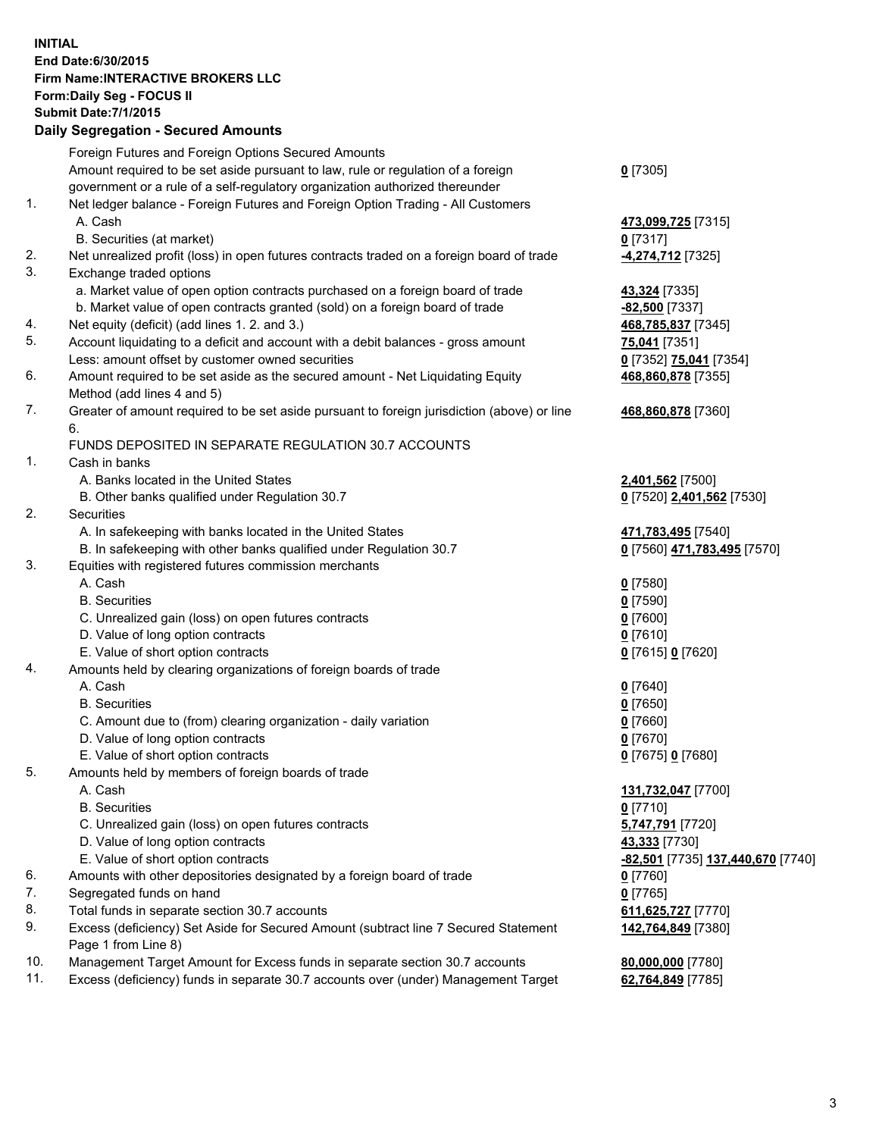## **INITIAL End Date:6/30/2015 Firm Name:INTERACTIVE BROKERS LLC Form:Daily Seg - FOCUS II Submit Date:7/1/2015 Daily Segregation - Secured Amounts**

|     | Foreign Futures and Foreign Options Secured Amounts                                         |                                   |
|-----|---------------------------------------------------------------------------------------------|-----------------------------------|
|     | Amount required to be set aside pursuant to law, rule or regulation of a foreign            | $0$ [7305]                        |
|     | government or a rule of a self-regulatory organization authorized thereunder                |                                   |
| 1.  | Net ledger balance - Foreign Futures and Foreign Option Trading - All Customers             |                                   |
|     | A. Cash                                                                                     | 473,099,725 [7315]                |
|     | B. Securities (at market)                                                                   | $0$ [7317]                        |
| 2.  | Net unrealized profit (loss) in open futures contracts traded on a foreign board of trade   | 4,274,712 [7325]                  |
| 3.  |                                                                                             |                                   |
|     | Exchange traded options                                                                     |                                   |
|     | a. Market value of open option contracts purchased on a foreign board of trade              | 43,324 [7335]                     |
|     | b. Market value of open contracts granted (sold) on a foreign board of trade                | -82,500 [7337]                    |
| 4.  | Net equity (deficit) (add lines 1.2. and 3.)                                                | 468,785,837 [7345]                |
| 5.  | Account liquidating to a deficit and account with a debit balances - gross amount           | 75,041 [7351]                     |
|     | Less: amount offset by customer owned securities                                            | 0 [7352] 75,041 [7354]            |
| 6.  | Amount required to be set aside as the secured amount - Net Liquidating Equity              | 468,860,878 [7355]                |
|     | Method (add lines 4 and 5)                                                                  |                                   |
| 7.  | Greater of amount required to be set aside pursuant to foreign jurisdiction (above) or line | 468,860,878 [7360]                |
|     | 6.                                                                                          |                                   |
|     | FUNDS DEPOSITED IN SEPARATE REGULATION 30.7 ACCOUNTS                                        |                                   |
| 1.  | Cash in banks                                                                               |                                   |
|     | A. Banks located in the United States                                                       |                                   |
|     |                                                                                             | 2,401,562 [7500]                  |
|     | B. Other banks qualified under Regulation 30.7                                              | 0 [7520] 2,401,562 [7530]         |
| 2.  | Securities                                                                                  |                                   |
|     | A. In safekeeping with banks located in the United States                                   | 471,783,495 [7540]                |
|     | B. In safekeeping with other banks qualified under Regulation 30.7                          | 0 [7560] 471,783,495 [7570]       |
| 3.  | Equities with registered futures commission merchants                                       |                                   |
|     | A. Cash                                                                                     | $0$ [7580]                        |
|     | <b>B.</b> Securities                                                                        | $0$ [7590]                        |
|     | C. Unrealized gain (loss) on open futures contracts                                         | $0$ [7600]                        |
|     | D. Value of long option contracts                                                           | $0$ [7610]                        |
|     | E. Value of short option contracts                                                          | 0 [7615] 0 [7620]                 |
| 4.  | Amounts held by clearing organizations of foreign boards of trade                           |                                   |
|     | A. Cash                                                                                     | $0$ [7640]                        |
|     | <b>B.</b> Securities                                                                        | $0$ [7650]                        |
|     | C. Amount due to (from) clearing organization - daily variation                             | $0$ [7660]                        |
|     | D. Value of long option contracts                                                           | $0$ [7670]                        |
|     | E. Value of short option contracts                                                          | 0 [7675] 0 [7680]                 |
| 5.  | Amounts held by members of foreign boards of trade                                          |                                   |
|     | A. Cash                                                                                     | 131,732,047 [7700]                |
|     | <b>B.</b> Securities                                                                        | $0$ [7710]                        |
|     |                                                                                             |                                   |
|     | C. Unrealized gain (loss) on open futures contracts                                         | 5,747,791 [7720]                  |
|     | D. Value of long option contracts                                                           | 43,333 [7730]                     |
|     | E. Value of short option contracts                                                          | -82,501 [7735] 137,440,670 [7740] |
| 6.  | Amounts with other depositories designated by a foreign board of trade                      | $0$ [7760]                        |
| 7.  | Segregated funds on hand                                                                    | $0$ [7765]                        |
| 8.  | Total funds in separate section 30.7 accounts                                               | 611,625,727 [7770]                |
| 9.  | Excess (deficiency) Set Aside for Secured Amount (subtract line 7 Secured Statement         | 142,764,849 [7380]                |
|     | Page 1 from Line 8)                                                                         |                                   |
| 10. | Management Target Amount for Excess funds in separate section 30.7 accounts                 | 80,000,000 [7780]                 |
| 11. | Excess (deficiency) funds in separate 30.7 accounts over (under) Management Target          | 62,764,849 [7785]                 |
|     |                                                                                             |                                   |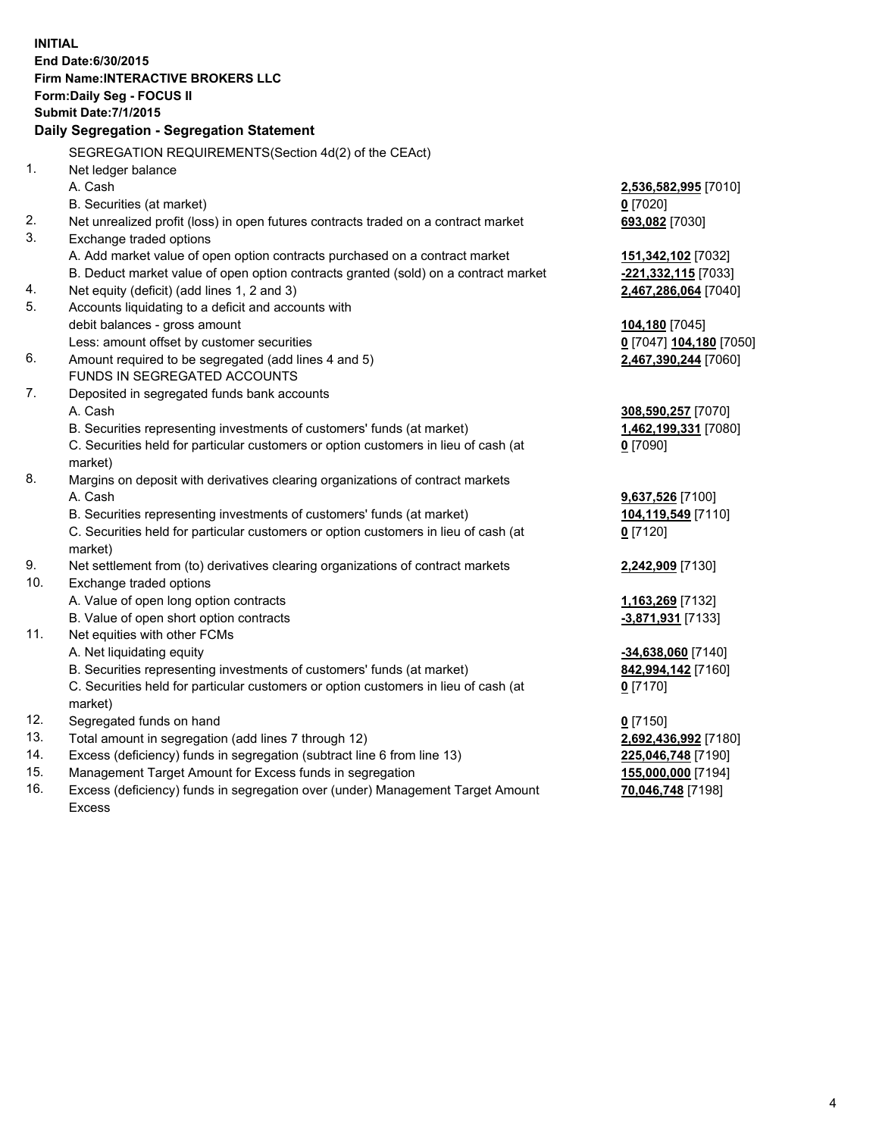**INITIAL End Date:6/30/2015 Firm Name:INTERACTIVE BROKERS LLC Form:Daily Seg - FOCUS II Submit Date:7/1/2015 Daily Segregation - Segregation Statement** SEGREGATION REQUIREMENTS(Section 4d(2) of the CEAct) 1. Net ledger balance A. Cash **2,536,582,995** [7010] B. Securities (at market) **0** [7020] 2. Net unrealized profit (loss) in open futures contracts traded on a contract market **693,082** [7030] 3. Exchange traded options A. Add market value of open option contracts purchased on a contract market **151,342,102** [7032] B. Deduct market value of open option contracts granted (sold) on a contract market **-221,332,115** [7033] 4. Net equity (deficit) (add lines 1, 2 and 3) **2,467,286,064** [7040] 5. Accounts liquidating to a deficit and accounts with debit balances - gross amount **104,180** [7045] Less: amount offset by customer securities **0** [7047] **104,180** [7050] 6. Amount required to be segregated (add lines 4 and 5) **2,467,390,244** [7060] FUNDS IN SEGREGATED ACCOUNTS 7. Deposited in segregated funds bank accounts A. Cash **308,590,257** [7070] B. Securities representing investments of customers' funds (at market) **1,462,199,331** [7080] C. Securities held for particular customers or option customers in lieu of cash (at market) **0** [7090] 8. Margins on deposit with derivatives clearing organizations of contract markets A. Cash **9,637,526** [7100] B. Securities representing investments of customers' funds (at market) **104,119,549** [7110] C. Securities held for particular customers or option customers in lieu of cash (at market) **0** [7120] 9. Net settlement from (to) derivatives clearing organizations of contract markets **2,242,909** [7130] 10. Exchange traded options A. Value of open long option contracts **1,163,269** [7132] B. Value of open short option contracts **-3,871,931** [7133] 11. Net equities with other FCMs A. Net liquidating equity **-34,638,060** [7140] B. Securities representing investments of customers' funds (at market) **842,994,142** [7160] C. Securities held for particular customers or option customers in lieu of cash (at market) **0** [7170] 12. Segregated funds on hand **0** [7150] 13. Total amount in segregation (add lines 7 through 12) **2,692,436,992** [7180] 14. Excess (deficiency) funds in segregation (subtract line 6 from line 13) **225,046,748** [7190] 15. Management Target Amount for Excess funds in segregation **155,000,000** [7194]

16. Excess (deficiency) funds in segregation over (under) Management Target Amount Excess

**70,046,748** [7198]